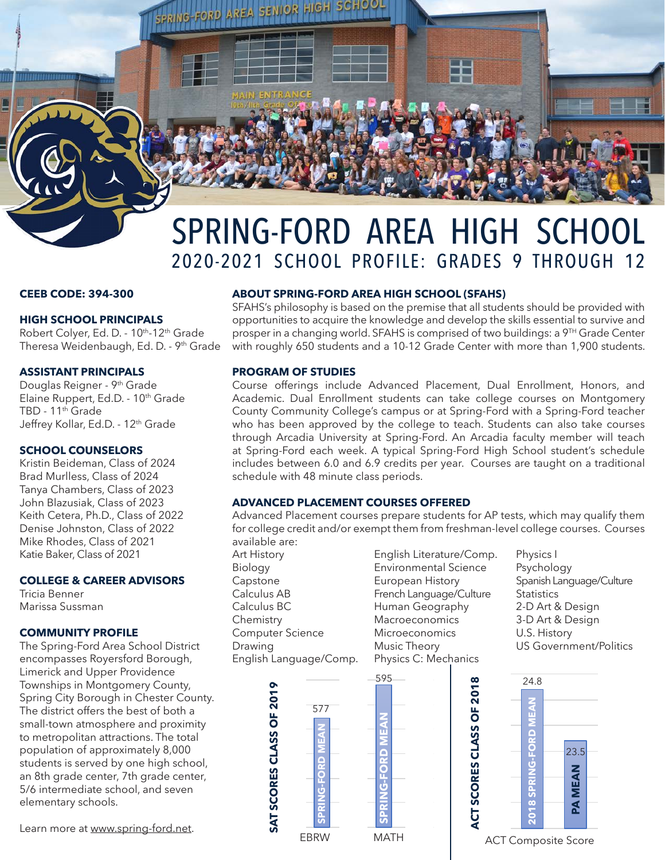

# SPRING-FORD AREA HIGH SCHOOL 2020-2021 SCHOOL PROFILE: GRADES 9 THROUGH 12

## **CEEB CODE: 394-300**

## **HIGH SCHOOL PRINCIPALS**

Robert Colyer, Ed. D. - 10<sup>th</sup>-12<sup>th</sup> Grade Theresa Weidenbaugh, Ed. D. - 9<sup>th</sup> Grade

## **ASSISTANT PRINCIPALS**

Douglas Reigner - 9th Grade Elaine Ruppert, Ed.D. - 10<sup>th</sup> Grade TBD - 11<sup>th</sup> Grade Jeffrey Kollar, Ed.D. - 12<sup>th</sup> Grade

## **SCHOOL COUNSELORS**

Kristin Beideman, Class of 2024 Brad Murlless, Class of 2024 Tanya Chambers, Class of 2023 John Blazusiak, Class of 2023 Keith Cetera, Ph.D., Class of 2022 Denise Johnston, Class of 2022 Mike Rhodes, Class of 2021 Katie Baker, Class of 2021

# **COLLEGE & CAREER ADVISORS**

Tricia Benner Marissa Sussman

# **COMMUNITY PROFILE**

The Spring-Ford Area School District encompasses Royersford Borough, Limerick and Upper Providence Townships in Montgomery County, Spring City Borough in Chester County. The district offers the best of both a small-town atmosphere and proximity to metropolitan attractions. The total population of approximately 8,000 students is served by one high school, an 8th grade center, 7th grade center, 5/6 intermediate school, and seven elementary schools.

Learn more at www.spring-ford.net.

# **ABOUT SPRING-FORD AREA HIGH SCHOOL (SFAHS)**

SFAHS's philosophy is based on the premise that all students should be provided with opportunities to acquire the knowledge and develop the skills essential to survive and prosper in a changing world. SFAHS is comprised of two buildings: a 9TH Grade Center with roughly 650 students and a 10-12 Grade Center with more than 1,900 students.

## **PROGRAM OF STUDIES**

Course offerings include Advanced Placement, Dual Enrollment, Honors, and Academic. Dual Enrollment students can take college courses on Montgomery County Community College's campus or at Spring-Ford with a Spring-Ford teacher who has been approved by the college to teach. Students can also take courses through Arcadia University at Spring-Ford. An Arcadia faculty member will teach at Spring-Ford each week. A typical Spring-Ford High School student's schedule includes between 6.0 and 6.9 credits per year. Courses are taught on a traditional schedule with 48 minute class periods.

# **ADVANCED PLACEMENT COURSES OFFERED**

Advanced Placement courses prepare students for AP tests, which may qualify them for college credit and/or exempt them from freshman-level college courses. Courses available are:

Art History Biology Capstone Calculus AB Calculus BC **Chemistry** Computer Science Drawing English Language/Comp.

**SAT SCORES CLASS OF 2019**

SAT SCORES CLASS OF 2019

**SPRING-FORD MEAN**

ō

577

**SPRING-FORD MEAN**

C

595



Physics I Psychology Spanish Language/Culture **Statistics** 2-D Art & Design 3-D Art & Design U.S. History US Government/Politics